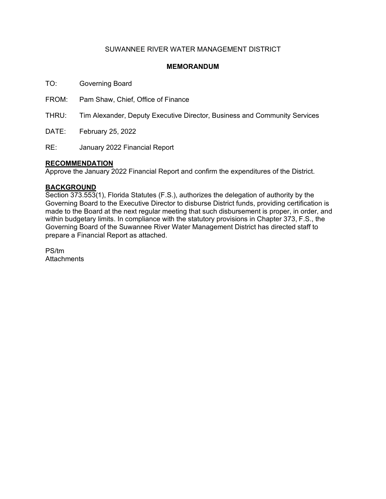## SUWANNEE RIVER WATER MANAGEMENT DISTRICT

## **MEMORANDUM**

TO: Governing Board

FROM: Pam Shaw, Chief, Office of Finance

THRU: Tim Alexander, Deputy Executive Director, Business and Community Services

DATE: February 25, 2022

RE: January 2022 Financial Report

### **RECOMMENDATION**

Approve the January 2022 Financial Report and confirm the expenditures of the District.

### **BACKGROUND**

Section 373.553(1), Florida Statutes (F.S.), authorizes the delegation of authority by the Governing Board to the Executive Director to disburse District funds, providing certification is made to the Board at the next regular meeting that such disbursement is proper, in order, and within budgetary limits. In compliance with the statutory provisions in Chapter 373, F.S., the Governing Board of the Suwannee River Water Management District has directed staff to prepare a Financial Report as attached.

PS/tm **Attachments**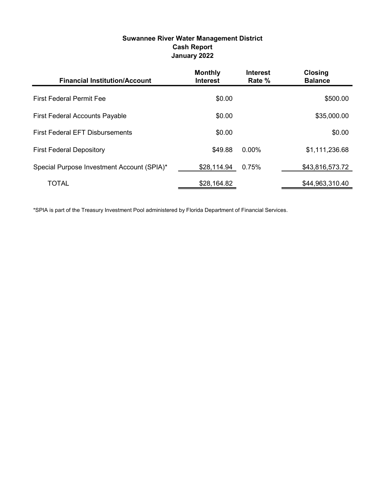# Suwannee River Water Management District Cash Report January 2022

| <b>Financial Institution/Account</b>       | <b>Monthly</b><br><b>Interest</b> | <b>Interest</b><br>Rate % | <b>Closing</b><br><b>Balance</b> |
|--------------------------------------------|-----------------------------------|---------------------------|----------------------------------|
| <b>First Federal Permit Fee</b>            | \$0.00                            |                           | \$500.00                         |
| <b>First Federal Accounts Payable</b>      | \$0.00                            |                           | \$35,000.00                      |
| <b>First Federal EFT Disbursements</b>     | \$0.00                            |                           | \$0.00                           |
| <b>First Federal Depository</b>            | \$49.88                           | $0.00\%$                  | \$1,111,236.68                   |
| Special Purpose Investment Account (SPIA)* | \$28,114.94                       | 0.75%                     | \$43,816,573.72                  |
| <b>TOTAL</b>                               | \$28,164.82                       |                           | \$44,963,310.40                  |

\*SPIA is part of the Treasury Investment Pool administered by Florida Department of Financial Services.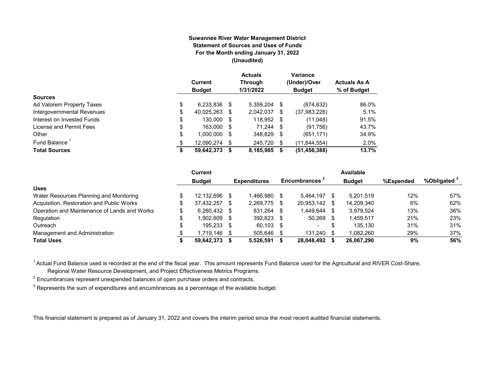#### **Suwannee River Water Management District Statement of Sources and Uses of Funds For the Month ending January 31, 2022 (Unaudited)**

|                            | Current<br><b>Budget</b> |      | <b>Actuals</b><br><b>Through</b><br>1/31/2022 |    | Variance<br>(Under)/Over<br><b>Budget</b> | <b>Actuals As A</b><br>% of Budget |
|----------------------------|--------------------------|------|-----------------------------------------------|----|-------------------------------------------|------------------------------------|
| <b>Sources</b>             |                          |      |                                               |    |                                           |                                    |
| Ad Valorem Property Taxes  | \$<br>6,233,836          | - \$ | 5,359,204                                     | S  | (874, 632)                                | 86.0%                              |
| Intergovernmental Revenues | \$<br>40,025,263         | S    | 2,042,037                                     | S  | (37,983,226)                              | 5.1%                               |
| Interest on Invested Funds | \$<br>130.000            | - \$ | 118,952 \$                                    |    | (11,048)                                  | 91.5%                              |
| License and Permit Fees    | \$<br>163,000            | - \$ | $71,244$ \$                                   |    | (91,756)                                  | 43.7%                              |
| Other                      | \$<br>1,000,000          | S    | 348,829                                       | S  | (651, 171)                                | 34.9%                              |
| Fund Balance               | \$<br>12.090.274         | S    | 245.720                                       | \$ | (11, 844, 554)                            | 2.0%                               |
| <b>Total Sources</b>       | \$<br>59,642,373         | S    | 8,185,985                                     | S  | (51, 456, 388)                            | 13.7%                              |

|                                              | Current          |      |                     |      |                           |     | Available     |           |                         |
|----------------------------------------------|------------------|------|---------------------|------|---------------------------|-----|---------------|-----------|-------------------------|
|                                              | <b>Budget</b>    |      | <b>Expenditures</b> |      | Encumbrances <sup>2</sup> |     | <b>Budget</b> | %Expended | %Obligated <sup>3</sup> |
| <b>Uses</b>                                  |                  |      |                     |      |                           |     |               |           |                         |
| Water Resources Planning and Monitoring      | 12.132.696       | - \$ | 1.466.980           |      | 5.464.197                 |     | 5.201.519     | 12%       | 57%                     |
| Acquisition, Restoration and Public Works    | \$<br>37.432.257 | -S   | 2,269,775           |      | 20,953,142                | -S  | 14,209,340    | 6%        | 62%                     |
| Operation and Maintenance of Lands and Works | $6.260.432$ \$   |      | 831.264             | -S   | 1.449.644                 | -SS | 3.979.524     | 13%       | 36%                     |
| Regulation                                   | \$<br>.902.609   | - \$ | 392,823             | - \$ | 50.269                    |     | 1,459,517     | 21%       | 23%                     |
| Outreach                                     | 195.233 \$       |      | 60,103              | - \$ | $\overline{\phantom{a}}$  | S   | 135.130       | 31%       | 31%                     |
| Management and Administration                | l.719.146        | - \$ | 505,646             |      | 131.240                   |     | 1,082,260     | 29%       | 37%                     |
| <b>Total Uses</b>                            | 59.642.373       |      | 5,526,591           |      | 28.048.492                |     | 26,067,290    | 9%        | 56%                     |

<sup>1</sup> Actual Fund Balance used is recorded at the end of the fiscal year. This amount represents Fund Balance used for the Agricultural and RIVER Cost-Share,

Regional Water Resource Development, and Project Effectiveness Metrics Programs.

 $^{\text{2}}$  Encumbrances represent unexpended balances of open purchase orders and contracts.

 $^3$  Represents the sum of expenditures and encumbrances as a percentage of the available budget.

This financial statement is prepared as of January 31, 2022 and covers the interim period since the most recent audited financial statements.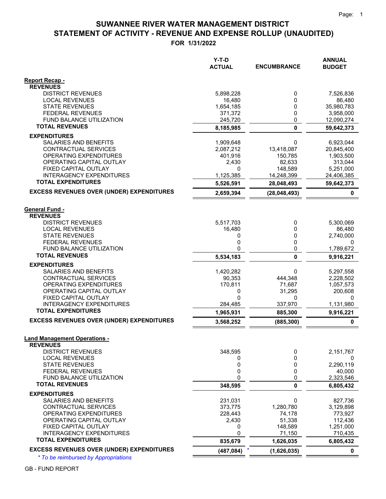# **STATEMENT OF ACTIVITY - REVENUE AND EXPENSE ROLLUP (UNAUDITED) SUWANNEE RIVER WATER MANAGEMENT DISTRICT**

**FOR 1/31/2022**

|                                                              | Y-T-D<br><b>ACTUAL</b> | <b>ENCUMBRANCE</b> | <b>ANNUAL</b><br><b>BUDGET</b> |
|--------------------------------------------------------------|------------------------|--------------------|--------------------------------|
| Report Recap -                                               |                        |                    |                                |
| <b>REVENUES</b>                                              |                        |                    |                                |
| <b>DISTRICT REVENUES</b>                                     | 5,898,228              | 0                  | 7,526,836                      |
| <b>LOCAL REVENUES</b>                                        | 16,480                 | 0                  | 86,480                         |
| <b>STATE REVENUES</b>                                        | 1,654,185              | 0                  | 35,980,783                     |
| <b>FEDERAL REVENUES</b><br><b>FUND BALANCE UTILIZATION</b>   | 371,372<br>245,720     | 0<br>0             | 3,958,000<br>12,090,274        |
| <b>TOTAL REVENUES</b>                                        | 8,185,985              | $\mathbf{0}$       | 59,642,373                     |
| <b>EXPENDITURES</b>                                          |                        |                    |                                |
| <b>SALARIES AND BENEFITS</b>                                 | 1,909,648              | 0                  | 6,923,044                      |
| CONTRACTUAL SERVICES                                         | 2,087,212              | 13,418,087         | 20,845,400                     |
| OPERATING EXPENDITURES                                       | 401,916                | 150,785            | 1,903,500                      |
| OPERATING CAPITAL OUTLAY                                     | 2,430                  | 82,633             | 313,044                        |
| FIXED CAPITAL OUTLAY                                         | 0                      | 148,589            | 5,251,000                      |
| <b>INTERAGENCY EXPENDITURES</b><br><b>TOTAL EXPENDITURES</b> | 1,125,385              | 14,248,399         | 24,406,385                     |
|                                                              | 5,526,591              | 28,048,493         | 59,642,373                     |
| <b>EXCESS REVENUES OVER (UNDER) EXPENDITURES</b>             | 2,659,394              | (28, 048, 493)     | 0                              |
| <b>General Fund -</b>                                        |                        |                    |                                |
| <b>REVENUES</b>                                              |                        |                    |                                |
| <b>DISTRICT REVENUES</b>                                     | 5,517,703              | 0                  | 5,300,069                      |
| <b>LOCAL REVENUES</b>                                        | 16,480                 | 0                  | 86.480                         |
| <b>STATE REVENUES</b>                                        | 0                      | 0                  | 2,740,000                      |
| <b>FEDERAL REVENUES</b>                                      | 0                      | 0                  | 0                              |
| <b>FUND BALANCE UTILIZATION</b>                              | 0                      | 0                  | 1,789,672                      |
| <b>TOTAL REVENUES</b>                                        | 5,534,183              | $\mathbf{0}$       | 9,916,221                      |
| <b>EXPENDITURES</b>                                          |                        |                    |                                |
| SALARIES AND BENEFITS                                        | 1,420,282              | 0                  | 5,297,558                      |
| CONTRACTUAL SERVICES                                         | 90,353                 | 444,348            | 2,228,502                      |
| OPERATING EXPENDITURES<br>OPERATING CAPITAL OUTLAY           | 170,811<br>0           | 71,687<br>31,295   | 1,057,573<br>200,608           |
| FIXED CAPITAL OUTLAY                                         | 0                      | 0                  | 0                              |
| <b>INTERAGENCY EXPENDITURES</b>                              | 284,485                | 337,970            | 1,131,980                      |
| <b>TOTAL EXPENDITURES</b>                                    | 1,965,931              | 885,300            | 9,916,221                      |
| <b>EXCESS REVENUES OVER (UNDER) EXPENDITURES</b>             | 3,568,252              | (885, 300)         | $\pmb{0}$                      |
|                                                              |                        |                    |                                |
| <b>Land Management Operations -</b><br><b>REVENUES</b>       |                        |                    |                                |
| <b>DISTRICT REVENUES</b>                                     | 348,595                | 0                  | 2,151,767                      |
| <b>LOCAL REVENUES</b>                                        | 0                      | 0                  | 0                              |
| <b>STATE REVENUES</b>                                        | 0                      | 0                  | 2,290,119                      |
| <b>FEDERAL REVENUES</b>                                      | 0                      | 0                  | 40,000                         |
| FUND BALANCE UTILIZATION                                     | 0                      | 0                  | 2,323,546                      |
| <b>TOTAL REVENUES</b>                                        | 348,595                | 0                  | 6,805,432                      |
| <b>EXPENDITURES</b>                                          |                        |                    |                                |
| SALARIES AND BENEFITS                                        | 231,031                | 0                  | 827,736                        |
| <b>CONTRACTUAL SERVICES</b>                                  | 373,775                | 1,280,780          | 3,129,898                      |
| OPERATING EXPENDITURES                                       | 228,443                | 74,178             | 773,927                        |
| OPERATING CAPITAL OUTLAY<br>FIXED CAPITAL OUTLAY             | 2,430<br>0             | 51,338<br>148,589  | 112,436<br>1,251,000           |
| <b>INTERAGENCY EXPENDITURES</b>                              | 0                      | 71,150             | 710,435                        |
| <b>TOTAL EXPENDITURES</b>                                    | 835,679                | 1,626,035          | 6,805,432                      |
| <b>EXCESS REVENUES OVER (UNDER) EXPENDITURES</b>             | (487, 084)             | (1,626,035)        | $\mathbf 0$                    |
|                                                              |                        |                    |                                |

*\* To be reimbursed by Appropriations*